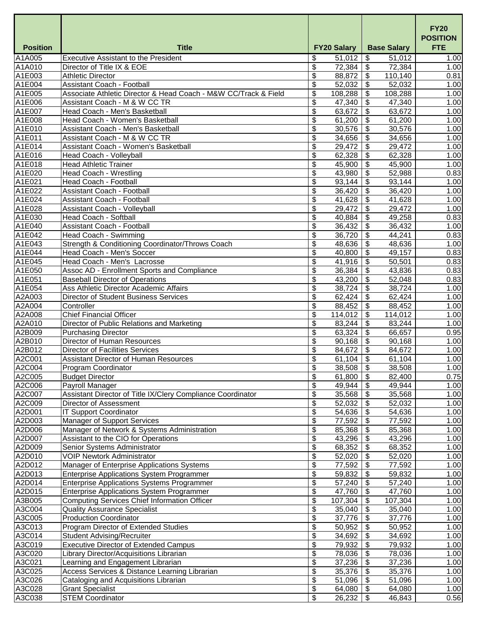|                  |                                                                                                      |                                     |                                               | <b>FY20</b><br><b>POSITION</b> |
|------------------|------------------------------------------------------------------------------------------------------|-------------------------------------|-----------------------------------------------|--------------------------------|
| <b>Position</b>  | <b>Title</b>                                                                                         | <b>FY20 Salary</b>                  | <b>Base Salary</b>                            | <b>FTE</b>                     |
| A1A005           | <b>Executive Assistant to the President</b>                                                          | \$<br>51,012                        | $\mathfrak{S}$<br>51,012                      | 1.00                           |
| A1A010           | Director of Title IX & EOE                                                                           | \$<br>72,384                        | $\boldsymbol{\mathsf{S}}$<br>72,384           | 1.00                           |
| A1E003           | <b>Athletic Director</b>                                                                             | \$<br>88,872                        | $\boldsymbol{\mathsf{S}}$<br>110,140          | 0.81                           |
| A1E004           | <b>Assistant Coach - Football</b><br>Associate Athletic Director & Head Coach - M&W CC/Track & Field | \$<br>52,032                        | $\boldsymbol{\mathsf{S}}$<br>52,032           | 1.00                           |
| A1E005<br>A1E006 | Assistant Coach - M & W CC TR                                                                        | \$<br>108,288<br>\$<br>47,340       | \$<br>108,288<br>47,340                       | 1.00<br>1.00                   |
| A1E007           | Head Coach - Men's Basketball                                                                        | \$<br>63,672                        | $\boldsymbol{\mathsf{S}}$<br>63,672           | 1.00                           |
| A1E008           | Head Coach - Women's Basketball                                                                      | \$<br>61,200                        | \$<br>61,200                                  | 1.00                           |
| A1E010           | Assistant Coach - Men's Basketball                                                                   | \$<br>30,576                        | \$<br>30,576                                  | 1.00                           |
| A1E011           | Assistant Coach - M & W CC TR                                                                        | \$<br>34,656                        | $\boldsymbol{\theta}$<br>34,656               | 1.00                           |
| A1E014           | <b>Assistant Coach - Women's Basketball</b>                                                          | \$<br>29,472                        | $\mathcal{L}$<br>29,472                       | 1.00                           |
| A1E016           | <b>Head Coach - Volleyball</b>                                                                       | \$<br>62,328                        | $\boldsymbol{\mathsf{S}}$<br>62,328           | 1.00                           |
| A1E018           | <b>Head Athletic Trainer</b>                                                                         | \$<br>45,900                        | $\boldsymbol{\mathsf{S}}$<br>45,900           | 1.00                           |
| A1E020           | <b>Head Coach - Wrestling</b>                                                                        | \$<br>43,980                        | \$<br>52,988                                  | 0.83                           |
| A1E021           | <b>Head Coach - Football</b>                                                                         | \$<br>93,144                        | $\mathfrak{S}$<br>93,144                      | 1.00                           |
| A1E022           | <b>Assistant Coach - Football</b>                                                                    | \$<br>36,420                        | $\mathfrak{S}$<br>36,420                      | 1.00                           |
| A1E024           | <b>Assistant Coach - Football</b>                                                                    | \$<br>41,628                        | \$<br>41,628                                  | 1.00                           |
| A1E028           | <b>Assistant Coach - Volleyball</b>                                                                  | \$<br>29,472                        | \$<br>29,472                                  | 1.00                           |
| A1E030           | <b>Head Coach - Softball</b>                                                                         | \$<br>40,884                        | $\mathfrak{S}$<br>49,258                      | 0.83                           |
| A1E040           | <b>Assistant Coach - Football</b>                                                                    | \$<br>36,432                        | $\boldsymbol{\mathsf{S}}$<br>36,432           | 1.00                           |
| A1E042           | <b>Head Coach - Swimming</b>                                                                         | \$<br>36,720                        | \$<br>44,241                                  | 0.83                           |
| A1E043           | Strength & Conditioning Coordinator/Throws Coach                                                     | \$<br>48,636                        | \$<br>48,636                                  | 1.00                           |
| A1E044           | Head Coach - Men's Soccer                                                                            | \$<br>40,800                        | $\boldsymbol{\mathsf{\$}}$<br>49,157          | 0.83                           |
| A1E045           | Head Coach - Men's Lacrosse                                                                          | \$<br>41,916                        | $\boldsymbol{\mathsf{S}}$<br>50,501           | 0.83                           |
| A1E050           | Assoc AD - Enrollment Sports and Compliance                                                          | \$<br>36,384                        | $\boldsymbol{\mathsf{S}}$<br>43,836           | 0.83                           |
| A1E051           | <b>Baseball Director of Operations</b>                                                               | \$<br>43,200                        | \$<br>52,048                                  | 0.83                           |
| A1E054           | Ass Athletic Director Academic Affairs                                                               | \$<br>38,724                        | $\mathfrak{L}$<br>38,724                      | 1.00                           |
| A2A003           | <b>Director of Student Business Services</b>                                                         | \$<br>62,424                        | $\boldsymbol{\mathsf{\$}}$<br>62,424          | 1.00                           |
| A2A004           | Controller                                                                                           | \$<br>88,452                        | \$<br>88,452                                  | 1.00                           |
| A2A008           | <b>Chief Financial Officer</b>                                                                       | \$<br>114,012                       | \$<br>114,012                                 | 1.00                           |
| A2A010           | Director of Public Relations and Marketing                                                           | \$<br>83,244                        | \$<br>83,244                                  | 1.00                           |
| A2B009           | <b>Purchasing Director</b>                                                                           | \$<br>63,324                        | $\mathfrak{S}$<br>66,657                      | 0.95                           |
| A2B010           | <b>Director of Human Resources</b>                                                                   | \$<br>90,168                        | $\boldsymbol{\mathsf{S}}$<br>90,168           | 1.00                           |
| A2B012<br>A2C001 | <b>Director of Facilities Services</b><br><b>Assistant Director of Human Resources</b>               | \$<br>84,672<br>\$                  | $\boldsymbol{\mathsf{\$}}$<br>84,672<br>\$    | 1.00                           |
| A2C004           | <b>Program Coordinator</b>                                                                           | 61,104<br>\$<br>38,508              | 61,104<br>$\boldsymbol{\mathsf{S}}$<br>38,508 | 1.00<br>1.00                   |
| A2C005           | <b>Budget Director</b>                                                                               | \$<br>61,800                        | \$<br>82,400                                  | 0.75                           |
| A2C006           | <b>Payroll Manager</b>                                                                               | \$<br>49,944                        | \$<br>49,944                                  | 1.00                           |
| A2C007           | Assistant Director of Title IX/Clery Compliance Coordinator                                          | \$<br>35,568                        | \$<br>35,568                                  | 1.00                           |
| A2C009           | <b>Director of Assessment</b>                                                                        | \$<br>52,032                        | \$<br>52,032                                  | 1.00                           |
| A2D001           | <b>IT Support Coordinator</b>                                                                        | \$<br>54,636                        | $\boldsymbol{\mathsf{S}}$<br>54,636           | 1.00                           |
| A2D003           | <b>Manager of Support Services</b>                                                                   | \$<br>77,592                        | \$<br>77,592                                  | 1.00                           |
| A2D006           | Manager of Network & Systems Administration                                                          | \$<br>85,368                        | \$<br>85,368                                  | 1.00                           |
| A2D007           | Assistant to the CIO for Operations                                                                  | \$<br>43,296                        | \$<br>43,296                                  | 1.00                           |
| A2D009           | Senior Systems Administrator                                                                         | \$<br>68,352                        | \$<br>68,352                                  | 1.00                           |
| A2D010           | <b>VOIP Newtork Administrator</b>                                                                    | \$<br>52,020                        | \$<br>52,020                                  | 1.00                           |
| A2D012           | <b>Manager of Enterprise Applications Systems</b>                                                    | \$<br>77,592                        | $\boldsymbol{\theta}$<br>77,592               | 1.00                           |
| A2D013           | <b>Enterprise Applications System Programmer</b>                                                     | \$<br>59,832                        | \$<br>59,832                                  | 1.00                           |
| A2D014           | <b>Enterprise Applications Systems Programmer</b>                                                    | \$<br>57,240                        | \$<br>57,240                                  | 1.00                           |
| A2D015           | <b>Enterprise Applications System Programmer</b>                                                     | \$<br>47,760                        | \$<br>47,760                                  | 1.00                           |
| A3B005           | <b>Computing Services Chief Information Officer</b>                                                  | \$<br>107,304                       | 107,304                                       | 1.00                           |
| A3C004           | <b>Quality Assurance Specialist</b>                                                                  | \$<br>35,040                        | \$<br>35,040                                  | 1.00                           |
| A3C005           | <b>Production Coordinator</b>                                                                        | \$<br>37,776                        | \$<br>37,776                                  | 1.00                           |
| A3C013           | Program Director of Extended Studies                                                                 | \$<br>50,952                        | \$<br>50,952                                  | 1.00                           |
| A3C014           | <b>Student Advising/Recruiter</b>                                                                    | \$<br>34,692                        | \$<br>34,692                                  | 1.00                           |
| A3C019           | <b>Executive Director of Extended Campus</b>                                                         | \$<br>79,932                        | 79,932                                        | 1.00                           |
| A3C020           | Library Director/Acquisitions Librarian                                                              | \$<br>78,036                        | $\mathfrak{S}$<br>78,036                      | 1.00                           |
| A3C021           | Learning and Engagement Librarian                                                                    | \$<br>37,236                        | 37,236<br>\$                                  | 1.00                           |
| A3C025           | Access Services & Distance Learning Librarian                                                        | \$<br>$35,376$   \$<br>\$<br>51,096 | 35,376<br>\$                                  | 1.00<br>1.00                   |
| A3C026<br>A3C028 | Cataloging and Acquisitions Librarian<br><b>Grant Specialist</b>                                     | \$<br>64,080                        | 51,096<br>\$<br>64,080                        | 1.00                           |
| A3C038           | <b>STEM Coordinator</b>                                                                              | \$<br>26,232                        | 46,843<br>\$                                  | 0.56                           |
|                  |                                                                                                      |                                     |                                               |                                |